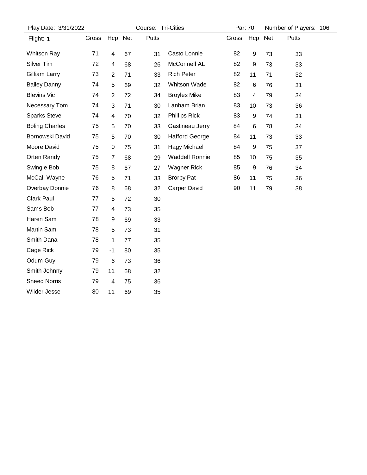| Play Date: 3/31/2022  |       |                | Course: Tri-Cities |       |                       |       | Par: 70          |     | Number of Players: 106 |
|-----------------------|-------|----------------|--------------------|-------|-----------------------|-------|------------------|-----|------------------------|
| Flight: 1             | Gross |                | Hcp Net            | Putts |                       | Gross | Hcp              | Net | Putts                  |
| <b>Whitson Ray</b>    | 71    | 4              | 67                 | 31    | Casto Lonnie          | 82    | 9                | 73  | 33                     |
| Silver Tim            | 72    | 4              | 68                 | 26    | McConnell AL          | 82    | $\boldsymbol{9}$ | 73  | 33                     |
| Gilliam Larry         | 73    | $\overline{c}$ | 71                 | 33    | <b>Rich Peter</b>     | 82    | 11               | 71  | 32                     |
| <b>Bailey Danny</b>   | 74    | 5              | 69                 | 32    | <b>Whitson Wade</b>   | 82    | 6                | 76  | 31                     |
| <b>Blevins Vic</b>    | 74    | $\overline{c}$ | 72                 | 34    | <b>Broyles Mike</b>   | 83    | 4                | 79  | 34                     |
| Necessary Tom         | 74    | 3              | 71                 | 30    | Lanham Brian          | 83    | 10               | 73  | 36                     |
| <b>Sparks Steve</b>   | 74    | 4              | 70                 | 32    | <b>Phillips Rick</b>  | 83    | 9                | 74  | 31                     |
| <b>Boling Charles</b> | 75    | 5              | 70                 | 33    | Gastineau Jerry       | 84    | 6                | 78  | 34                     |
| Bornowski David       | 75    | 5              | 70                 | 30    | <b>Hafford George</b> | 84    | 11               | 73  | 33                     |
| Moore David           | 75    | 0              | 75                 | 31    | Hagy Michael          | 84    | 9                | 75  | 37                     |
| Orten Randy           | 75    | $\overline{7}$ | 68                 | 29    | <b>Waddell Ronnie</b> | 85    | 10               | 75  | 35                     |
| Swingle Bob           | 75    | 8              | 67                 | 27    | <b>Wagner Rick</b>    | 85    | 9                | 76  | 34                     |
| McCall Wayne          | 76    | 5              | 71                 | 33    | <b>Brorby Pat</b>     | 86    | 11               | 75  | 36                     |
| Overbay Donnie        | 76    | 8              | 68                 | 32    | Carper David          | 90    | 11               | 79  | 38                     |
| <b>Clark Paul</b>     | 77    | 5              | 72                 | 30    |                       |       |                  |     |                        |
| Sams Bob              | 77    | 4              | 73                 | 35    |                       |       |                  |     |                        |
| Haren Sam             | 78    | 9              | 69                 | 33    |                       |       |                  |     |                        |
| Martin Sam            | 78    | 5              | 73                 | 31    |                       |       |                  |     |                        |
| Smith Dana            | 78    | $\mathbf 1$    | 77                 | 35    |                       |       |                  |     |                        |
| Cage Rick             | 79    | $-1$           | 80                 | 35    |                       |       |                  |     |                        |
| Odum Guy              | 79    | 6              | 73                 | 36    |                       |       |                  |     |                        |
| Smith Johnny          | 79    | 11             | 68                 | 32    |                       |       |                  |     |                        |
| <b>Sneed Norris</b>   | 79    | 4              | 75                 | 36    |                       |       |                  |     |                        |
| Wilder Jesse          | 80    | 11             | 69                 | 35    |                       |       |                  |     |                        |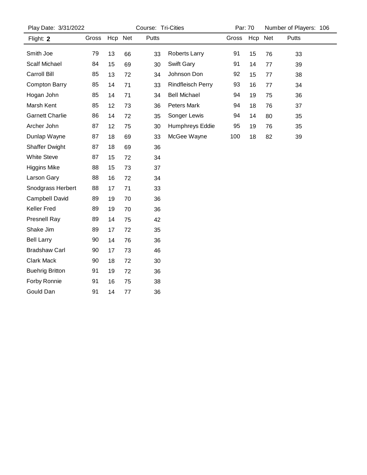| Play Date: 3/31/2022   |       |         | Course: Tri-Cities |              |                          | Par: 70 |         | Number of Players: 106 |       |  |
|------------------------|-------|---------|--------------------|--------------|--------------------------|---------|---------|------------------------|-------|--|
| Flight: 2              | Gross | Hcp Net |                    | <b>Putts</b> |                          | Gross   | Hcp Net |                        | Putts |  |
| Smith Joe              | 79    | 13      | 66                 | 33           | Roberts Larry            | 91      | 15      | 76                     | 33    |  |
| <b>Scalf Michael</b>   | 84    | 15      | 69                 | 30           | Swift Gary               | 91      | 14      | 77                     | 39    |  |
| Carroll Bill           | 85    | 13      | 72                 | 34           | Johnson Don              | 92      | 15      | 77                     | 38    |  |
| <b>Compton Barry</b>   | 85    | 14      | 71                 | 33           | <b>Rindfleisch Perry</b> | 93      | 16      | 77                     | 34    |  |
| Hogan John             | 85    | 14      | 71                 | 34           | <b>Bell Michael</b>      | 94      | 19      | 75                     | 36    |  |
| Marsh Kent             | 85    | 12      | 73                 | 36           | Peters Mark              | 94      | 18      | 76                     | 37    |  |
| <b>Garnett Charlie</b> | 86    | 14      | 72                 | 35           | Songer Lewis             | 94      | 14      | 80                     | 35    |  |
| Archer John            | 87    | 12      | 75                 | 30           | Humphreys Eddie          | 95      | 19      | 76                     | 35    |  |
| Dunlap Wayne           | 87    | 18      | 69                 | 33           | McGee Wayne              | 100     | 18      | 82                     | 39    |  |
| <b>Shaffer Dwight</b>  | 87    | 18      | 69                 | 36           |                          |         |         |                        |       |  |
| <b>White Steve</b>     | 87    | 15      | 72                 | 34           |                          |         |         |                        |       |  |
| <b>Higgins Mike</b>    | 88    | 15      | 73                 | 37           |                          |         |         |                        |       |  |
| Larson Gary            | 88    | 16      | 72                 | 34           |                          |         |         |                        |       |  |
| Snodgrass Herbert      | 88    | 17      | 71                 | 33           |                          |         |         |                        |       |  |
| Campbell David         | 89    | 19      | 70                 | 36           |                          |         |         |                        |       |  |
| <b>Keller Fred</b>     | 89    | 19      | 70                 | 36           |                          |         |         |                        |       |  |
| Presnell Ray           | 89    | 14      | 75                 | 42           |                          |         |         |                        |       |  |
| Shake Jim              | 89    | 17      | 72                 | 35           |                          |         |         |                        |       |  |
| <b>Bell Larry</b>      | 90    | 14      | 76                 | 36           |                          |         |         |                        |       |  |
| <b>Bradshaw Carl</b>   | 90    | 17      | 73                 | 46           |                          |         |         |                        |       |  |
| <b>Clark Mack</b>      | 90    | 18      | 72                 | 30           |                          |         |         |                        |       |  |
| <b>Buehrig Britton</b> | 91    | 19      | 72                 | 36           |                          |         |         |                        |       |  |
| Forby Ronnie           | 91    | 16      | 75                 | 38           |                          |         |         |                        |       |  |
| Gould Dan              | 91    | 14      | 77                 | 36           |                          |         |         |                        |       |  |